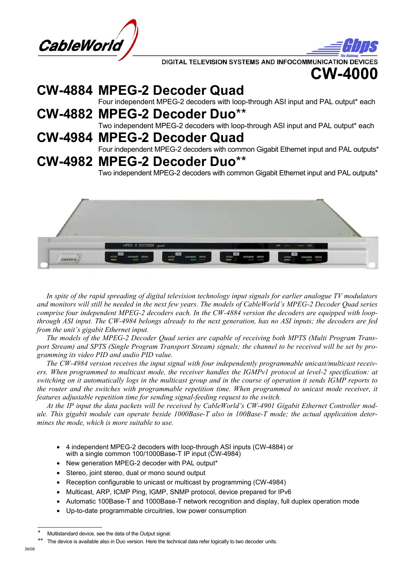

DIGITAL TELEVISION SYSTEMS AND INFOCOMMUNICATION DEVIC



# **CW-4884 MPEG-2 Decoder Quad**

Four independent MPEG-2 decoders with loop-through ASI input and PAL output\* each

**CW-4882 MPEG-2 Decoder Duo**\*\* Two independent MPEG-2 decoders with loop-through ASI input and PAL output\* each **CW-4984 MPEG-2 Decoder Quad**

Four independent MPEG-2 decoders with common Gigabit Ethernet input and PAL outputs\*

# **CW-4982 MPEG-2 Decoder Duo**\*\*

Two independent MPEG-2 decoders with common Gigabit Ethernet input and PAL outputs\*



 *In spite of the rapid spreading of digital television technology input signals for earlier analogue TV modulators and monitors will still be needed in the next few years. The models of CableWorld's MPEG-2 Decoder Quad series comprise four independent MPEG-2 decoders each. In the CW-4884 version the decoders are equipped with loopthrough ASI input. The CW-4984 belongs already to the next generation, has no ASI inputs; the decoders are fed from the unit's gigabit Ethernet input.* 

 *The models of the MPEG-2 Decoder Quad series are capable of receiving both MPTS (Multi Program Transport Stream) and SPTS (Single Program Transport Stream) signals; the channel to be received will be set by programming its video PID and audio PID value.* 

 *The CW-4984 version receives the input signal with four independently programmable unicast/multicast receivers. When programmed to multicast mode, the receiver handles the IGMPv1 protocol at level-2 specification: at switching on it automatically logs in the multicast group and in the course of operation it sends IGMP reports to the router and the switches with programmable repetition time. When programmed to unicast mode receiver, it features adjustable repetition time for sending signal-feeding request to the switch.* 

 *At the IP input the data packets will be received by CableWorld's CW-4901 Gigabit Ethernet Controller module. This gigabit module can operate beside 1000Base-T also in 100Base-T mode; the actual application determines the mode, which is more suitable to use.* 

- 4 independent MPEG-2 decoders with loop-through ASI inputs (CW-4884) or with a single common 100/1000Base-T IP input (CW-4984)
- New generation MPEG-2 decoder with PAL output\*
- Stereo, joint stereo, dual or mono sound output
- Reception configurable to unicast or multicast by programming (CW-4984)
- Multicast, ARP, ICMP Ping, IGMP, SNMP protocol, device prepared for IPv6
- Automatic 100Base-T and 1000Base-T network recognition and display, full duplex operation mode
- Up-to-date programmable circuitries, low power consumption

Multistandard device, see the data of the Output signal.

The device is available also in Duo version. Here the technical data refer logically to two decoder units.